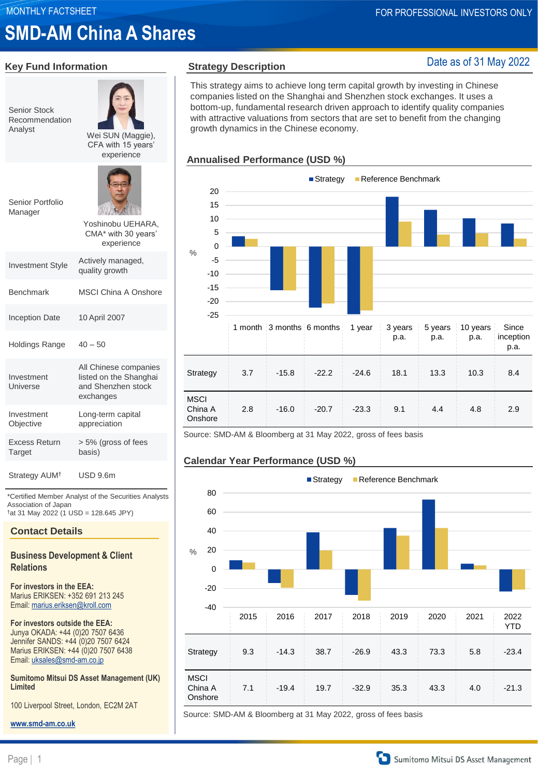# **Key Fund Information**

**SMD-AM China A Shares**

| <b>Senior Stock</b><br>Recommendation<br>Analyst | Wei SUN (Maggie),<br>CFA with 15 years'<br>experience                              |
|--------------------------------------------------|------------------------------------------------------------------------------------|
| Senior Portfolio<br>Manager                      | Yoshinobu UEHARA.<br>CMA* with 30 years'<br>experience                             |
| <b>Investment Style</b>                          | Actively managed,<br>quality growth                                                |
| <b>Benchmark</b>                                 | <b>MSCI China A Onshore</b>                                                        |
| <b>Inception Date</b>                            | 10 April 2007                                                                      |
| <b>Holdings Range</b>                            | $40 - 50$                                                                          |
| Investment<br>Universe                           | All Chinese companies<br>listed on the Shanghai<br>and Shenzhen stock<br>exchanges |
| Investment<br>Objective                          | Long-term capital<br>appreciation                                                  |
| Excess Return<br>Target                          | > 5% (gross of fees<br>basis)                                                      |
| Strategy AUM <sup>+</sup>                        | <b>USD 9.6m</b>                                                                    |

\*Certified Member Analyst of the Securities Analysts Association of Japan †at 31 May 2022 (1 USD = 128.645 JPY)

#### **Contact Details**

### **Business Development & Client Relations**

**For investors in the EEA:**  Marius ERIKSEN: +352 691 213 245 Email: [marius.eriksen@kroll.com](mailto:marius.eriksen@kroll.com)

**For investors outside the EEA:** Junya OKADA: +44 (0)20 7507 6436 Jennifer SANDS: +44 (0)20 7507 6424 Marius ERIKSEN: +44 (0)20 7507 6438 Email: [uksales@smd-am.co.jp](mailto:uksales@smd-am.co.jp)

**Sumitomo Mitsui DS Asset Management (UK) Limited**

100 Liverpool Street, London, EC2M 2AT

**[www.smd-am.co.uk](http://www.smd-am.co.uk/)**

### **Strategy Description**

### Date as of 31 May 2022

This strategy aims to achieve long term capital growth by investing in Chinese companies listed on the Shanghai and Shenzhen stock exchanges. It uses a bottom-up, fundamental research driven approach to identify quality companies with attractive valuations from sectors that are set to benefit from the changing growth dynamics in the Chinese economy.

### **Annualised Performance (USD %)**



Source: SMD-AM & Bloomberg at 31 May 2022, gross of fees basis





Source: SMD-AM & Bloomberg at 31 May 2022, gross of fees basis